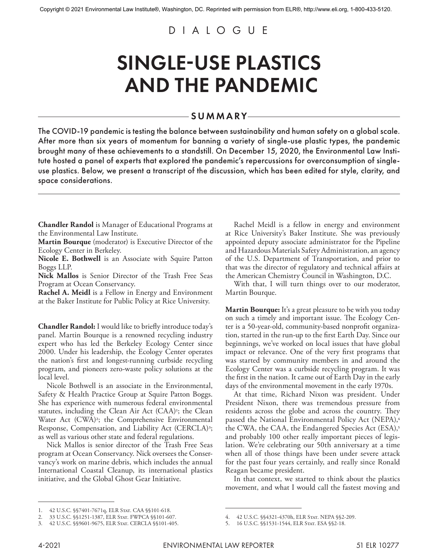## DIALOGUE

## SINGLE-USE PLASTICS AND THE PANDEMIC

## SUMMARY

The COVID-19 pandemic is testing the balance between sustainability and human safety on a global scale. After more than six years of momentum for banning a variety of single-use plastic types, the pandemic brought many of these achievements to a standstill. On December 15, 2020, the Environmental Law Institute hosted a panel of experts that explored the pandemic's repercussions for overconsumption of singleuse plastics. Below, we present a transcript of the discussion, which has been edited for style, clarity, and space considerations.

**Chandler Randol** is Manager of Educational Programs at the Environmental Law Institute.

**Martin Bourque** (moderator) is Executive Director of the Ecology Center in Berkeley.

**Nicole E. Bothwell** is an Associate with Squire Patton Boggs LLP.

**Nick Mallos** is Senior Director of the Trash Free Seas Program at Ocean Conservancy.

**Rachel A. Meidl** is a Fellow in Energy and Environment at the Baker Institute for Public Policy at Rice University.

**Chandler Randol:** I would like to briefly introduce today's panel. Martin Bourque is a renowned recycling industry expert who has led the Berkeley Ecology Center since 2000. Under his leadership, the Ecology Center operates the nation's first and longest-running curbside recycling program, and pioneers zero-waste policy solutions at the local level.

Nicole Bothwell is an associate in the Environmental, Safety & Health Practice Group at Squire Patton Boggs. She has experience with numerous federal environmental statutes, including the Clean Air Act (CAA)<sup>1</sup>; the Clean Water Act (CWA)<sup>2</sup>; the Comprehensive Environmental Response, Compensation, and Liability Act (CERCLA)<sup>3</sup>; as well as various other state and federal regulations.

Nick Mallos is senior director of the Trash Free Seas program at Ocean Conservancy. Nick oversees the Conservancy's work on marine debris, which includes the annual International Coastal Cleanup, its international plastics initiative, and the Global Ghost Gear Initiative.

Rachel Meidl is a fellow in energy and environment at Rice University's Baker Institute. She was previously appointed deputy associate administrator for the Pipeline and Hazardous Materials Safety Administration, an agency of the U.S. Department of Transportation, and prior to that was the director of regulatory and technical affairs at the American Chemistry Council in Washington, D.C.

With that, I will turn things over to our moderator, Martin Bourque.

**Martin Bourque:** It's a great pleasure to be with you today on such a timely and important issue. The Ecology Center is a 50-year-old, community-based nonprofit organization, started in the run-up to the first Earth Day. Since our beginnings, we've worked on local issues that have global impact or relevance. One of the very first programs that was started by community members in and around the Ecology Center was a curbside recycling program. It was the first in the nation. It came out of Earth Day in the early days of the environmental movement in the early 1970s.

At that time, Richard Nixon was president. Under President Nixon, there was tremendous pressure from residents across the globe and across the country. They passed the National Environmental Policy Act (NEPA),4 the CWA, the CAA, the Endangered Species Act (ESA),<sup>5</sup> and probably 100 other really important pieces of legislation. We're celebrating our 50th anniversary at a time when all of those things have been under severe attack for the past four years certainly, and really since Ronald Reagan became president.

In that context, we started to think about the plastics movement, and what I would call the fastest moving and

<sup>1. 42</sup> U.S.C. §§7401-7671q, ELR STAT. CAA §§101-618.

<sup>2. 33</sup> U.S.C. §§1251-1387, ELR STAT. FWPCA §§101-607.

<sup>3.</sup> 42 U.S.C. §§9601-9675, ELR Stat. CERCLA §§101-405.

<sup>4.</sup> 42 U.S.C. §§4321-4370h, ELR Stat. NEPA §§2-209.

<sup>5. 16</sup> U.S.C. §§1531-1544, ELR STAT. ESA §§2-18.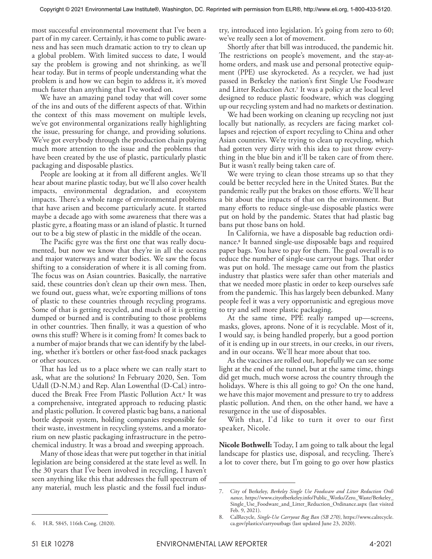most successful environmental movement that I've been a part of in my career. Certainly, it has come to public awareness and has seen much dramatic action to try to clean up a global problem. With limited success to date, I would say the problem is growing and not shrinking, as we'll hear today. But in terms of people understanding what the problem is and how we can begin to address it, it's moved much faster than anything that I've worked on.

We have an amazing panel today that will cover some of the ins and outs of the different aspects of that. Within the context of this mass movement on multiple levels, we've got environmental organizations really highlighting the issue, pressuring for change, and providing solutions. We've got everybody through the production chain paying much more attention to the issue and the problems that have been created by the use of plastic, particularly plastic packaging and disposable plastics.

People are looking at it from all different angles. We'll hear about marine plastic today, but we'll also cover health impacts, environmental degradation, and ecosystem impacts. There's a whole range of environmental problems that have arisen and become particularly acute. It started maybe a decade ago with some awareness that there was a plastic gyre, a floating mass or an island of plastic. It turned out to be a big stew of plastic in the middle of the ocean.

The Pacific gyre was the first one that was really documented, but now we know that they're in all the oceans and major waterways and water bodies. We saw the focus shifting to a consideration of where it is all coming from. The focus was on Asian countries. Basically, the narrative said, these countries don't clean up their own mess. Then, we found out, guess what, we're exporting millions of tons of plastic to these countries through recycling programs. Some of that is getting recycled, and much of it is getting dumped or burned and is contributing to those problems in other countries. Then finally, it was a question of who owns this stuff? Where is it coming from? It comes back to a number of major brands that we can identify by the labeling, whether it's bottlers or other fast-food snack packages or other sources.

That has led us to a place where we can really start to ask, what are the solutions? In February 2020, Sen. Tom Udall (D-N.M.) and Rep. Alan Lowenthal (D-Cal.) introduced the Break Free From Plastic Pollution Act.6 It was a comprehensive, integrated approach to reducing plastic and plastic pollution. It covered plastic bag bans, a national bottle deposit system, holding companies responsible for their waste, investment in recycling systems, and a moratorium on new plastic packaging infrastructure in the petrochemical industry. It was a broad and sweeping approach.

Many of those ideas that were put together in that initial legislation are being considered at the state level as well. In the 30 years that I've been involved in recycling, I haven't seen anything like this that addresses the full spectrum of any material, much less plastic and the fossil fuel industry, introduced into legislation. It's going from zero to 60; we've really seen a lot of movement.

Shortly after that bill was introduced, the pandemic hit. The restrictions on people's movement, and the stay-athome orders, and mask use and personal protective equipment (PPE) use skyrocketed. As a recycler, we had just passed in Berkeley the nation's first Single Use Foodware and Litter Reduction Act.7 It was a policy at the local level designed to reduce plastic foodware, which was clogging up our recycling system and had no markets or destination.

We had been working on cleaning up recycling not just locally but nationally, as recyclers are facing market collapses and rejection of export recycling to China and other Asian countries. We're trying to clean up recycling, which had gotten very dirty with this idea to just throw everything in the blue bin and it'll be taken care of from there. But it wasn't really being taken care of.

We were trying to clean those streams up so that they could be better recycled here in the United States. But the pandemic really put the brakes on those efforts. We'll hear a bit about the impacts of that on the environment. But many efforts to reduce single-use disposable plastics were put on hold by the pandemic. States that had plastic bag bans put those bans on hold.

In California, we have a disposable bag reduction ordinance.8 It banned single-use disposable bags and required paper bags. You have to pay for them. The goal overall is to reduce the number of single-use carryout bags. That order was put on hold. The message came out from the plastics industry that plastics were safer than other materials and that we needed more plastic in order to keep ourselves safe from the pandemic. This has largely been debunked. Many people feel it was a very opportunistic and egregious move to try and sell more plastic packaging.

At the same time, PPE really ramped up—screens, masks, gloves, aprons. None of it is recyclable. Most of it, I would say, is being handled properly, but a good portion of it is ending up in our streets, in our creeks, in our rivers, and in our oceans. We'll hear more about that too.

As the vaccines are rolled out, hopefully we can see some light at the end of the tunnel, but at the same time, things did get much, much worse across the country through the holidays. Where is this all going to go? On the one hand, we have this major movement and pressure to try to address plastic pollution. And then, on the other hand, we have a resurgence in the use of disposables.

With that, I'd like to turn it over to our first speaker, Nicole.

**Nicole Bothwell:** Today, I am going to talk about the legal landscape for plastics use, disposal, and recycling. There's a lot to cover there, but I'm going to go over how plastics

<sup>7.</sup> City of Berkeley, *Berkeley Single Use Foodware and Litter Reduction Ordi nance*, https://www.cityofberkeley.info/Public\_Works/Zero\_Waste/Berkeley\_ Single\_Use\_Foodware\_and\_Litter\_Reduction\_Ordinance.aspx (last visited Feb. 9, 2021).

<sup>8.</sup> CalRecycle, *Single-Use Carryout Bag Ban (SB 270)*, https://www.calrecycle. ca.gov/plastics/carryoutbags (last updated June 23, 2020).

<sup>6.</sup> H.R. 5845, 116th Cong. (2020).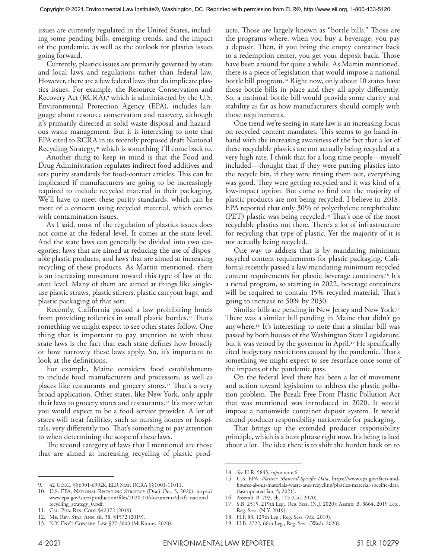issues are currently regulated in the United States, including some pending bills, emerging trends, and the impact of the pandemic, as well as the outlook for plastics issues going forward.

Currently, plastics issues are primarily governed by state and local laws and regulations rather than federal law. However, there are a few federal laws that do implicate plastics issues. For example, the Resource Conservation and Recovery Act (RCRA),<sup>9</sup> which is administered by the U.S. Environmental Protection Agency (EPA), includes language about resource conservation and recovery, although it's primarily directed at solid waste disposal and hazardous waste management. But it is interesting to note that EPA cited to RCRA in its recently proposed draft National Recycling Strategy,10 which is something I'll come back to.

Another thing to keep in mind is that the Food and Drug Administration regulates indirect food additives and sets purity standards for food-contact articles. This can be implicated if manufacturers are going to be increasingly required to include recycled material in their packaging. We'll have to meet these purity standards, which can be more of a concern using recycled material, which comes with contamination issues.

As I said, most of the regulation of plastics issues does not come at the federal level. It comes at the state level. And the state laws can generally be divided into two categories: laws that are aimed at reducing the use of disposable plastic products, and laws that are aimed at increasing recycling of these products. As Martin mentioned, there is an increasing movement toward this type of law at the state level. Many of them are aimed at things like singleuse plastic straws, plastic stirrers, plastic carryout bags, and plastic packaging of that sort.

Recently, California passed a law prohibiting hotels from providing toiletries in small plastic bottles.<sup>11</sup> That's something we might expect to see other states follow. One thing that is important to pay attention to with these state laws is the fact that each state defines how broadly or how narrowly these laws apply. So, it's important to look at the definitions.

For example, Maine considers food establishments to include food manufacturers and processors, as well as places like restaurants and grocery stores.12 That's a very broad application. Other states, like New York, only apply their laws to grocery stores and restaurants.<sup>13</sup> It's more what you would expect to be a food service provider. A lot of states will treat facilities, such as nursing homes or hospitals, very differently too. That's something to pay attention to when determining the scope of these laws.

The second category of laws that I mentioned are those that are aimed at increasing recycling of plastic prod-

ucts. Those are largely known as "bottle bills." Those are the programs where, when you buy a beverage, you pay a deposit. Then, if you bring the empty container back to a redemption center, you get your deposit back. Those have been around for quite a while. As Martin mentioned, there is a piece of legislation that would impose a national bottle bill program.14 Right now, only about 10 states have those bottle bills in place and they all apply differently. So, a national bottle bill would provide some clarity and stability as far as how manufacturers should comply with those requirements.

One trend we're seeing in state law is an increasing focus on recycled content mandates. This seems to go hand-inhand with the increasing awareness of the fact that a lot of these recyclable plastics are not actually being recycled at a very high rate. I think that for a long time people—myself included—thought that if they were putting plastics into the recycle bin, if they were rinsing them out, everything was good. They were getting recycled and it was kind of a low-impact option. But come to find out the majority of plastic products are not being recycled. I believe in 2018, EPA reported that only 30% of polyethylene terephthalate (PET) plastic was being recycled.15 That's one of the most recyclable plastics out there. There's a lot of infrastructure for recycling that type of plastic. Yet the majority of it is not actually being recycled.

One way to address that is by mandating minimum recycled content requirements for plastic packaging. California recently passed a law mandating minimum recycled content requirements for plastic beverage containers.16 It's a tiered program, so starting in 2022, beverage containers will be required to contain 15% recycled material. That's going to increase to 50% by 2030.

Similar bills are pending in New Jersey and New York.17 There was a similar bill pending in Maine that didn't go anywhere.18 It's interesting to note that a similar bill was passed by both houses of the Washington State Legislature, but it was vetoed by the governor in April.<sup>19</sup> He specifically cited budgetary restrictions caused by the pandemic. That's something we might expect to see resurface once some of the impacts of the pandemic pass.

On the federal level there has been a lot of movement and action toward legislation to address the plastic pollution problem. The Break Free From Plastic Pollution Act that was mentioned was introduced in 2020. It would impose a nationwide container deposit system. It would extend producer responsibility nationwide for packaging.

That brings up the extended producer responsibility principle, which is a buzz phrase right now. It's being talked about a lot. The idea there is to shift the burden back on to

<sup>9. 42</sup> U.S.C. §§6901-6992k, ELR Stat. RCRA §§1001-11011.

<sup>10.</sup> U.S. EPA, National Recycling Strategy (Draft Oct. 5, 2020), https:// www.epa.gov/sites/production/files/2020-10/documents/draft\_national\_ recycling\_strategy\_0.pdf.

<sup>11.</sup> Cal. Pub. Res. Code §42372 (2019).

<sup>12.</sup> Me. Rev. Stat. Ann. tit. 38, §1572 (2019).

<sup>13.</sup> N.Y. Env't Conserv. Law §27-3003 (McKinney 2020).

<sup>14.</sup> *See* H.R. 5845, *supra* note 6.

<sup>15.</sup> U.S. EPA, *Plastics: Material-Specific Data*, https://www.epa.gov/facts-andfigures-about-materials-waste-and-recycling/plastics-material-specific-data (last updated Jan. 5, 2021).

<sup>16.</sup> Assemb. B. 793, ch. 115 (Cal. 2020).

<sup>17.</sup> S.B. 2515, 219th Leg., Reg. Sess. (N.J. 2020); Assmb. B. 8664, 2019 Leg., Reg. Sess. (N.Y. 2019).

<sup>18.</sup> H.P. 88, 129th Leg., Reg. Sess. (Me. 2019).

<sup>19.</sup> H.B. 2722, 66th Leg., Reg. Sess. (Wash. 2020).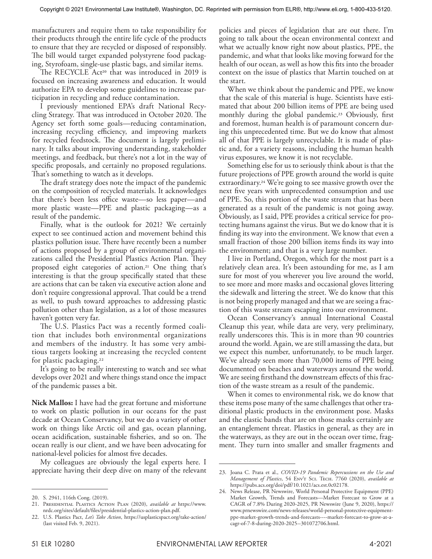manufacturers and require them to take responsibility for their products through the entire life cycle of the products to ensure that they are recycled or disposed of responsibly. The bill would target expanded polystyrene food packaging, Styrofoam, single-use plastic bags, and similar items.

The RECYCLE Act20 that was introduced in 2019 is focused on increasing awareness and education. It would authorize EPA to develop some guidelines to increase participation in recycling and reduce contamination.

I previously mentioned EPA's draft National Recycling Strategy. That was introduced in October 2020. The Agency set forth some goals—reducing contamination, increasing recycling efficiency, and improving markets for recycled feedstock. The document is largely preliminary. It talks about improving understanding, stakeholder meetings, and feedback, but there's not a lot in the way of specific proposals, and certainly no proposed regulations. That's something to watch as it develops.

The draft strategy does note the impact of the pandemic on the composition of recycled materials. It acknowledges that there's been less office waste—so less paper—and more plastic waste—PPE and plastic packaging—as a result of the pandemic.

Finally, what is the outlook for 2021? We certainly expect to see continued action and movement behind this plastics pollution issue. There have recently been a number of actions proposed by a group of environmental organizations called the Presidential Plastics Action Plan. They proposed eight categories of action.21 One thing that's interesting is that the group specifically stated that these are actions that can be taken via executive action alone and don't require congressional approval. That could be a trend as well, to push toward approaches to addressing plastic pollution other than legislation, as a lot of those measures haven't gotten very far.

The U.S. Plastics Pact was a recently formed coalition that includes both environmental organizations and members of the industry. It has some very ambitious targets looking at increasing the recycled content for plastic packaging.<sup>22</sup>

It's going to be really interesting to watch and see what develops over 2021 and where things stand once the impact of the pandemic passes a bit.

**Nick Mallos:** I have had the great fortune and misfortune to work on plastic pollution in our oceans for the past decade at Ocean Conservancy, but we do a variety of other work on things like Arctic oil and gas, ocean planning, ocean acidification, sustainable fisheries, and so on. The ocean really is our client, and we have been advocating for national-level policies for almost five decades.

My colleagues are obviously the legal experts here. I appreciate having their deep dive on many of the relevant

policies and pieces of legislation that are out there. I'm going to talk about the ocean environmental context and what we actually know right now about plastics, PPE, the pandemic, and what that looks like moving forward for the health of our ocean, as well as how this fits into the broader context on the issue of plastics that Martin touched on at the start.

When we think about the pandemic and PPE, we know that the scale of this material is huge. Scientists have estimated that about 200 billion items of PPE are being used monthly during the global pandemic.<sup>23</sup> Obviously, first and foremost, human health is of paramount concern during this unprecedented time. But we do know that almost all of that PPE is largely unrecyclable. It is made of plastic and, for a variety reasons, including the human health virus exposures, we know it is not recyclable.

Something else for us to seriously think about is that the future projections of PPE growth around the world is quite extraordinary.24 We're going to see massive growth over the next five years with unprecedented consumption and use of PPE. So, this portion of the waste stream that has been generated as a result of the pandemic is not going away. Obviously, as I said, PPE provides a critical service for protecting humans against the virus. But we do know that it is finding its way into the environment. We know that even a small fraction of those 200 billion items finds its way into the environment; and that is a very large number.

I live in Portland, Oregon, which for the most part is a relatively clean area. It's been astounding for me, as I am sure for most of you wherever you live around the world, to see more and more masks and occasional gloves littering the sidewalk and littering the street. We do know that this is not being properly managed and that we are seeing a fraction of this waste stream escaping into our environment.

Ocean Conservancy's annual International Coastal Cleanup this year, while data are very, very preliminary, really underscores this. This is in more than 90 countries around the world. Again, we are still amassing the data, but we expect this number, unfortunately, to be much larger. We've already seen more than 70,000 items of PPE being documented on beaches and waterways around the world. We are seeing firsthand the downstream effects of this fraction of the waste stream as a result of the pandemic.

When it comes to environmental risk, we do know that these items pose many of the same challenges that other traditional plastic products in the environment pose. Masks and the elastic bands that are on those masks certainly are an entanglement threat. Plastics in general, as they are in the waterways, as they are out in the ocean over time, fragment. They turn into smaller and smaller fragments and

<sup>20.</sup> S. 2941, 116th Cong. (2019).

<sup>21.</sup> Presidential Plastics Action Plan (2020), *available at* https://www. nrdc.org/sites/default/files/presidential-plastics-action-plan.pdf.

<sup>22.</sup> U.S. Plastics Pact, *Let's Take Action*, https://usplasticspact.org/take-action/ (last visited Feb. 9, 2021).

<sup>23.</sup> Joana C. Prata et al., *COVID-19 Pandemic Repercussions on the Use and Management of Plastics*, 54 Env't Sci. Tech. 7760 (2020), *available at* https://pubs.acs.org/doi/pdf/10.1021/acs.est.0c02178.

<sup>24.</sup> News Release, PR Newswire, World Personal Protective Equipment (PPE) Market Growth, Trends and Forecasts—Market Forecast to Grow at a CAGR of 7.8% During 2020-2025, PR Newswire (June 9, 2020), https:// www.prnewswire.com/news-releases/world-personal-protective-equipmentppe-market-growth-trends-and-forecasts----market-forecast-to-grow-at-acagr-of-7-8-during-2020-2025--301072706.html.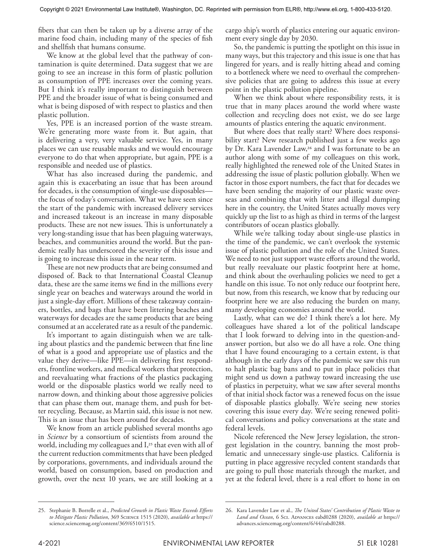fibers that can then be taken up by a diverse array of the marine food chain, including many of the species of fish and shellfish that humans consume.

We know at the global level that the pathway of contamination is quite determined. Data suggest that we are going to see an increase in this form of plastic pollution as consumption of PPE increases over the coming years. But I think it's really important to distinguish between PPE and the broader issue of what is being consumed and what is being disposed of with respect to plastics and then plastic pollution.

Yes, PPE is an increased portion of the waste stream. We're generating more waste from it. But again, that is delivering a very, very valuable service. Yes, in many places we can use reusable masks and we would encourage everyone to do that when appropriate, but again, PPE is a responsible and needed use of plastics.

What has also increased during the pandemic, and again this is exacerbating an issue that has been around for decades, is the consumption of single-use disposables the focus of today's conversation. What we have seen since the start of the pandemic with increased delivery services and increased takeout is an increase in many disposable products. These are not new issues. This is unfortunately a very long-standing issue that has been plaguing waterways, beaches, and communities around the world. But the pandemic really has underscored the severity of this issue and is going to increase this issue in the near term.

These are not new products that are being consumed and disposed of. Back to that International Coastal Cleanup data, these are the same items we find in the millions every single year on beaches and waterways around the world in just a single-day effort. Millions of these takeaway containers, bottles, and bags that have been littering beaches and waterways for decades are the same products that are being consumed at an accelerated rate as a result of the pandemic.

It's important to again distinguish when we are talking about plastics and the pandemic between that fine line of what is a good and appropriate use of plastics and the value they derive—like PPE—in delivering first responders, frontline workers, and medical workers that protection, and reevaluating what fractions of the plastics packaging world or the disposable plastics world we really need to narrow down, and thinking about those aggressive policies that can phase them out, manage them, and push for better recycling. Because, as Martin said, this issue is not new. This is an issue that has been around for decades.

We know from an article published several months ago in *Science* by a consortium of scientists from around the world, including my colleagues and  $I<sub>z</sub><sup>25</sup>$  that even with all of the current reduction commitments that have been pledged by corporations, governments, and individuals around the world, based on consumption, based on production and growth, over the next 10 years, we are still looking at a

cargo ship's worth of plastics entering our aquatic environment every single day by 2030.

So, the pandemic is putting the spotlight on this issue in many ways, but this trajectory and this issue is one that has lingered for years, and is really hitting ahead and coming to a bottleneck where we need to overhaul the comprehensive policies that are going to address this issue at every point in the plastic pollution pipeline.

When we think about where responsibility rests, it is true that in many places around the world where waste collection and recycling does not exist, we do see large amounts of plastics entering the aquatic environment.

But where does that really start? Where does responsibility start? New research published just a few weeks ago by Dr. Kara Lavender Law,<sup>26</sup> and I was fortunate to be an author along with some of my colleagues on this work, really highlighted the renewed role of the United States in addressing the issue of plastic pollution globally. When we factor in those export numbers, the fact that for decades we have been sending the majority of our plastic waste overseas and combining that with litter and illegal dumping here in the country, the United States actually moves very quickly up the list to as high as third in terms of the largest contributors of ocean plastics globally.

While we're talking today about single-use plastics in the time of the pandemic, we can't overlook the systemic issue of plastic pollution and the role of the United States. We need to not just support waste efforts around the world, but really reevaluate our plastic footprint here at home, and think about the overhauling policies we need to get a handle on this issue. To not only reduce our footprint here, but now, from this research, we know that by reducing our footprint here we are also reducing the burden on many, many developing economies around the world.

Lastly, what can we do? I think there's a lot here. My colleagues have shared a lot of the political landscape that I look forward to delving into in the question-andanswer portion, but also we do all have a role. One thing that I have found encouraging to a certain extent, is that although in the early days of the pandemic we saw this run to halt plastic bag bans and to put in place policies that might send us down a pathway toward increasing the use of plastics in perpetuity, what we saw after several months of that initial shock factor was a renewed focus on the issue of disposable plastics globally. We're seeing new stories covering this issue every day. We're seeing renewed political conversations and policy conversations at the state and federal levels.

Nicole referenced the New Jersey legislation, the strongest legislation in the country, banning the most problematic and unnecessary single-use plastics. California is putting in place aggressive recycled content standards that are going to pull those materials through the market, and yet at the federal level, there is a real effort to hone in on

<sup>25.</sup> Stephanie B. Borrelle et al., *Predicted Growth in Plastic Waste Exceeds Efforts to Mitigate Plastic Pollution*, 369 Science 1515 (2020), *available at* https:// science.sciencemag.org/content/369/6510/1515.

<sup>26.</sup> Kara Lavender Law et al., *The United States' Contribution of Plastic Waste to*  Land and Ocean, 6 Sci. ADVANCES eabd0288 (2020), available at https:// advances.sciencemag.org/content/6/44/eabd0288.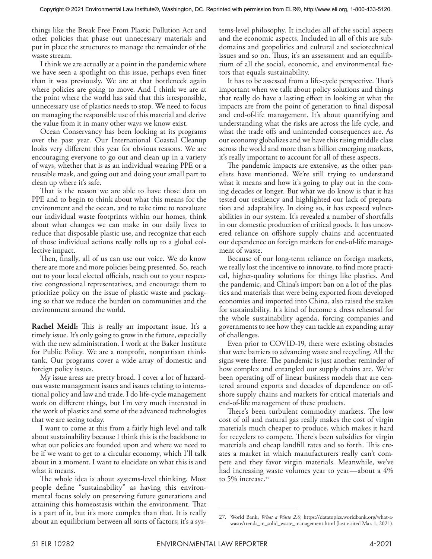things like the Break Free From Plastic Pollution Act and other policies that phase out unnecessary materials and put in place the structures to manage the remainder of the waste stream.

I think we are actually at a point in the pandemic where we have seen a spotlight on this issue, perhaps even finer than it was previously. We are at that bottleneck again where policies are going to move. And I think we are at the point where the world has said that this irresponsible, unnecessary use of plastics needs to stop. We need to focus on managing the responsible use of this material and derive the value from it in many other ways we know exist.

Ocean Conservancy has been looking at its programs over the past year. Our International Coastal Cleanup looks very different this year for obvious reasons. We are encouraging everyone to go out and clean up in a variety of ways, whether that is as an individual wearing PPE or a reusable mask, and going out and doing your small part to clean up where it's safe.

That is the reason we are able to have those data on PPE and to begin to think about what this means for the environment and the ocean, and to take time to reevaluate our individual waste footprints within our homes, think about what changes we can make in our daily lives to reduce that disposable plastic use, and recognize that each of those individual actions really rolls up to a global collective impact.

Then, finally, all of us can use our voice. We do know there are more and more policies being presented. So, reach out to your local elected officials, reach out to your respective congressional representatives, and encourage them to prioritize policy on the issue of plastic waste and packaging so that we reduce the burden on communities and the environment around the world.

**Rachel Meidl:** This is really an important issue. It's a timely issue. It's only going to grow in the future, especially with the new administration. I work at the Baker Institute for Public Policy. We are a nonprofit, nonpartisan thinktank. Our programs cover a wide array of domestic and foreign policy issues.

My issue areas are pretty broad. I cover a lot of hazardous waste management issues and issues relating to international policy and law and trade. I do life-cycle management work on different things, but I'm very much interested in the work of plastics and some of the advanced technologies that we are seeing today.

I want to come at this from a fairly high level and talk about sustainability because I think this is the backbone to what our policies are founded upon and where we need to be if we want to get to a circular economy, which I'll talk about in a moment. I want to elucidate on what this is and what it means.

The whole idea is about systems-level thinking. Most people define "sustainability" as having this environmental focus solely on preserving future generations and attaining this homeostasis within the environment. That is a part of it, but it's more complex than that. It is really about an equilibrium between all sorts of factors; it's a systems-level philosophy. It includes all of the social aspects and the economic aspects. Included in all of this are subdomains and geopolitics and cultural and sociotechnical issues and so on. Thus, it's an assessment and an equilibrium of all the social, economic, and environmental factors that equals sustainability.

It has to be assessed from a life-cycle perspective. That's important when we talk about policy solutions and things that really do have a lasting effect in looking at what the impacts are from the point of generation to final disposal and end-of-life management. It's about quantifying and understanding what the risks are across the life cycle, and what the trade offs and unintended consequences are. As our economy globalizes and we have this rising middle class across the world and more than a billion emerging markets, it's really important to account for all of these aspects.

The pandemic impacts are extensive, as the other panelists have mentioned. We're still trying to understand what it means and how it's going to play out in the coming decades or longer. But what we do know is that it has tested our resiliency and highlighted our lack of preparation and adaptability. In doing so, it has exposed vulnerabilities in our system. It's revealed a number of shortfalls in our domestic production of critical goods. It has uncovered reliance on offshore supply chains and accentuated our dependence on foreign markets for end-of-life management of waste.

Because of our long-term reliance on foreign markets, we really lost the incentive to innovate, to find more practical, higher-quality solutions for things like plastics. And the pandemic, and China's import ban on a lot of the plastics and materials that were being exported from developed economies and imported into China, also raised the stakes for sustainability. It's kind of become a dress rehearsal for the whole sustainability agenda, forcing companies and governments to see how they can tackle an expanding array of challenges.

Even prior to COVID-19, there were existing obstacles that were barriers to advancing waste and recycling. All the signs were there. The pandemic is just another reminder of how complex and entangled our supply chains are. We've been operating off of linear business models that are centered around exports and decades of dependence on offshore supply chains and markets for critical materials and end-of-life management of these products.

There's been turbulent commodity markets. The low cost of oil and natural gas really makes the cost of virgin materials much cheaper to produce, which makes it hard for recyclers to compete. There's been subsidies for virgin materials and cheap landfill rates and so forth. This creates a market in which manufacturers really can't compete and they favor virgin materials. Meanwhile, we've had increasing waste volumes year to year—about a 4% to 5% increase.<sup>27</sup>

<sup>27.</sup> World Bank, *What a Waste 2.0*, https://datatopics.worldbank.org/what-awaste/trends\_in\_solid\_waste\_management.html (last visited Mar. 1, 2021).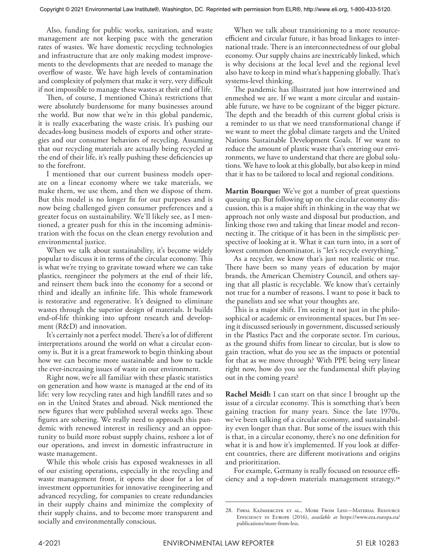Also, funding for public works, sanitation, and waste management are not keeping pace with the generation rates of wastes. We have domestic recycling technologies and infrastructure that are only making modest improvements to the developments that are needed to manage the overflow of waste. We have high levels of contamination and complexity of polymers that make it very, very difficult if not impossible to manage these wastes at their end of life.

Then, of course, I mentioned China's restrictions that were absolutely burdensome for many businesses around the world. But now that we're in this global pandemic, it is really exacerbating the waste crisis. It's pushing our decades-long business models of exports and other strategies and our consumer behaviors of recycling. Assuming that our recycling materials are actually being recycled at the end of their life, it's really pushing these deficiencies up to the forefront.

I mentioned that our current business models operate on a linear economy where we take materials, we make them, we use them, and then we dispose of them. But this model is no longer fit for our purposes and is now being challenged given consumer preferences and a greater focus on sustainability. We'll likely see, as I mentioned, a greater push for this in the incoming administration with the focus on the clean energy revolution and environmental justice.

When we talk about sustainability, it's become widely popular to discuss it in terms of the circular economy. This is what we're trying to gravitate toward where we can take plastics, reengineer the polymers at the end of their life, and reinsert them back into the economy for a second or third and ideally an infinite life. This whole framework is restorative and regenerative. It's designed to eliminate wastes through the superior design of materials. It builds end-of-life thinking into upfront research and development (R&D) and innovation.

It's certainly not a perfect model. There's a lot of different interpretations around the world on what a circular economy is. But it is a great framework to begin thinking about how we can become more sustainable and how to tackle the ever-increasing issues of waste in our environment.

Right now, we're all familiar with these plastic statistics on generation and how waste is managed at the end of its life: very low recycling rates and high landfill rates and so on in the United States and abroad. Nick mentioned the new figures that were published several weeks ago. These figures are sobering. We really need to approach this pandemic with renewed interest in resiliency and an opportunity to build more robust supply chains, reshore a lot of our operations, and invest in domestic infrastructure in waste management.

While this whole crisis has exposed weaknesses in all of our existing operations, especially in the recycling and waste management front, it opens the door for a lot of investment opportunities for innovative reengineering and advanced recycling, for companies to create redundancies in their supply chains and minimize the complexity of their supply chains, and to become more transparent and socially and environmentally conscious.

When we talk about transitioning to a more resourceefficient and circular future, it has broad linkages to international trade. There is an interconnectedness of our global economy. Our supply chains are inextricably linked, which is why decisions at the local level and the regional level also have to keep in mind what's happening globally. That's systems-level thinking.

The pandemic has illustrated just how intertwined and enmeshed we are. If we want a more circular and sustainable future, we have to be cognizant of the bigger picture. The depth and the breadth of this current global crisis is a reminder to us that we need transformational change if we want to meet the global climate targets and the United Nations Sustainable Development Goals. If we want to reduce the amount of plastic waste that's entering our environments, we have to understand that there are global solutions. We have to look at this globally, but also keep in mind that it has to be tailored to local and regional conditions.

**Martin Bourque:** We've got a number of great questions queuing up. But following up on the circular economy discussion, this is a major shift in thinking in the way that we approach not only waste and disposal but production, and linking those two and taking that linear model and reconnecting it. The critique of it has been in the simplistic perspective of looking at it. What it can turn into, in a sort of lowest common denominator, is "let's recycle everything."

As a recycler, we know that's just not realistic or true. There have been so many years of education by major brands, the American Chemistry Council, and others saying that all plastic is recyclable. We know that's certainly not true for a number of reasons. I want to pose it back to the panelists and see what your thoughts are.

This is a major shift. I'm seeing it not just in the philosophical or academic or environmental spaces, but I'm seeing it discussed seriously in government, discussed seriously in the Plastics Pact and the corporate sector. I'm curious, as the ground shifts from linear to circular, but is slow to gain traction, what do you see as the impacts or potential for that as we move through? With PPE being very linear right now, how do you see the fundamental shift playing out in the coming years?

**Rachel Meidl:** I can start on that since I brought up the issue of a circular economy. This is something that's been gaining traction for many years. Since the late 1970s, we've been talking of a circular economy, and sustainability even longer than that. But some of the issues with this is that, in a circular economy, there's no one definition for what it is and how it's implemented. If you look at different countries, there are different motivations and origins and prioritization.

For example, Germany is really focused on resource efficiency and a top-down materials management strategy.28

<sup>28.</sup> Pawal Kaźmierczyk et al., More From Less—Material Resource Efficiency in Europe (2016), *available at* https://www.eea.europa.eu/ publications/more-from-less.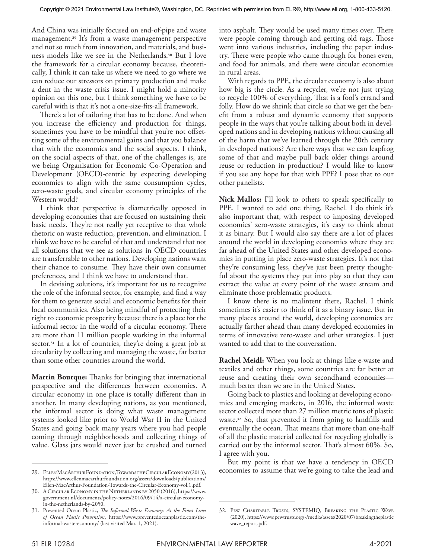And China was initially focused on end-of-pipe and waste management.29 It's from a waste management perspective and not so much from innovation, and materials, and business models like we see in the Netherlands.30 But I love the framework for a circular economy because, theoretically, I think it can take us where we need to go where we can reduce our stressors on primary production and make a dent in the waste crisis issue. I might hold a minority opinion on this one, but I think something we have to be careful with is that it's not a one-size-fits-all framework.

There's a lot of tailoring that has to be done. And when you increase the efficiency and production for things, sometimes you have to be mindful that you're not offsetting some of the environmental gains and that you balance that with the economics and the social aspects. I think, on the social aspects of that, one of the challenges is, are we being Organisation for Economic Co-Operation and Development (OECD)-centric by expecting developing economies to align with the same consumption cycles, zero-waste goals, and circular economy principles of the Western world?

I think that perspective is diametrically opposed in developing economies that are focused on sustaining their basic needs. They're not really yet receptive to that whole rhetoric on waste reduction, prevention, and elimination. I think we have to be careful of that and understand that not all solutions that we see as solutions in OECD countries are transferrable to other nations. Developing nations want their chance to consume. They have their own consumer preferences, and I think we have to understand that.

In devising solutions, it's important for us to recognize the role of the informal sector, for example, and find a way for them to generate social and economic benefits for their local communities. Also being mindful of protecting their right to economic prosperity because there is a place for the informal sector in the world of a circular economy. There are more than 11 million people working in the informal sector.<sup>31</sup> In a lot of countries, they're doing a great job at circularity by collecting and managing the waste, far better than some other countries around the world.

**Martin Bourque:** Thanks for bringing that international perspective and the differences between economies. A circular economy in one place is totally different than in another. In many developing nations, as you mentioned, the informal sector is doing what waste management systems looked like prior to World War II in the United States and going back many years where you had people coming through neighborhoods and collecting things of value. Glass jars would never just be crushed and turned

into asphalt. They would be used many times over. There were people coming through and getting old rags. Those went into various industries, including the paper industry. There were people who came through for bones even, and food for animals, and there were circular economies in rural areas.

With regards to PPE, the circular economy is also about how big is the circle. As a recycler, we're not just trying to recycle 100% of everything. That is a fool's errand and folly. How do we shrink that circle so that we get the benefit from a robust and dynamic economy that supports people in the ways that you're talking about both in developed nations and in developing nations without causing all of the harm that we've learned through the 20th century in developed nations? Are there ways that we can leapfrog some of that and maybe pull back older things around reuse or reduction in production? I would like to know if you see any hope for that with PPE? I pose that to our other panelists.

**Nick Mallos:** I'll look to others to speak specifically to PPE. I wanted to add one thing, Rachel. I do think it's also important that, with respect to imposing developed economies' zero-waste strategies, it's easy to think about it as binary. But I would also say there are a lot of places around the world in developing economies where they are far ahead of the United States and other developed economies in putting in place zero-waste strategies. It's not that they're consuming less, they've just been pretty thoughtful about the systems they put into play so that they can extract the value at every point of the waste stream and eliminate those problematic products.

I know there is no malintent there, Rachel. I think sometimes it's easier to think of it as a binary issue. But in many places around the world, developing economies are actually farther ahead than many developed economies in terms of innovative zero-waste and other strategies. I just wanted to add that to the conversation.

**Rachel Meidl:** When you look at things like e-waste and textiles and other things, some countries are far better at reuse and creating their own secondhand economies much better than we are in the United States.

Going back to plastics and looking at developing economies and emerging markets, in 2016, the informal waste sector collected more than 27 million metric tons of plastic waste.32 So, that prevented it from going to landfills and eventually the ocean. That means that more than one-half of all the plastic material collected for recycling globally is carried out by the informal sector. That's almost 60%. So, I agree with you.

But my point is that we have a tendency in OECD economies to assume that we're going to take the lead and

<sup>29.</sup> Ellen MacArthur Foundation, Towards the Circular Economy (2013), https://www.ellenmacarthurfoundation.org/assets/downloads/publications/ Ellen-MacArthur-Foundation-Towards-the-Circular-Economy-vol.1.pdf.

<sup>30.</sup> A Circular Economy in the Netherlands by 2050 (2016), https://www. government.nl/documents/policy-notes/2016/09/14/a-circular-economyin-the-netherlands-by-2050.

<sup>31.</sup> Prevented Ocean Plastic, *The Informal Waste Economy: At the Front Lines of Ocean Plastic Prevention*, https://www.preventedoceanplastic.com/theinformal-waste-economy/ (last visited Mar. 1, 2021).

<sup>32.</sup> Pew Charitable Trusts, SYSTEMIQ, Breaking the Plastic Wave (2020), https://www.pewtrusts.org/-/media/assets/2020/07/breakingtheplastic wave\_report.pdf.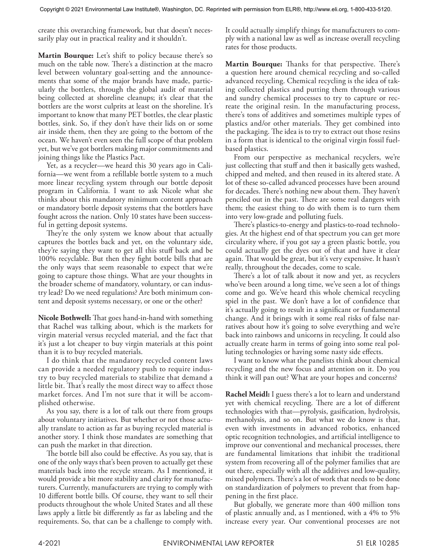create this overarching framework, but that doesn't necessarily play out in practical reality and it shouldn't.

**Martin Bourque:** Let's shift to policy because there's so much on the table now. There's a distinction at the macro level between voluntary goal-setting and the announcements that some of the major brands have made, particularly the bottlers, through the global audit of material being collected at shoreline cleanups; it's clear that the bottlers are the worst culprits at least on the shoreline. It's important to know that many PET bottles, the clear plastic bottles, sink. So, if they don't have their lids on or some air inside them, then they are going to the bottom of the ocean. We haven't even seen the full scope of that problem yet, but we've got bottlers making major commitments and joining things like the Plastics Pact.

Yet, as a recycler—we heard this 30 years ago in California—we went from a refillable bottle system to a much more linear recycling system through our bottle deposit program in California. I want to ask Nicole what she thinks about this mandatory minimum content approach or mandatory bottle deposit systems that the bottlers have fought across the nation. Only 10 states have been successful in getting deposit systems.

They're the only system we know about that actually captures the bottles back and yet, on the voluntary side, they're saying they want to get all this stuff back and be 100% recyclable. But then they fight bottle bills that are the only ways that seem reasonable to expect that we're going to capture those things. What are your thoughts in the broader scheme of mandatory, voluntary, or can industry lead? Do we need regulations? Are both minimum content and deposit systems necessary, or one or the other?

**Nicole Bothwell:** That goes hand-in-hand with something that Rachel was talking about, which is the markets for virgin material versus recycled material, and the fact that it's just a lot cheaper to buy virgin materials at this point than it is to buy recycled materials.

I do think that the mandatory recycled content laws can provide a needed regulatory push to require industry to buy recycled materials to stabilize that demand a little bit. That's really the most direct way to affect those market forces. And I'm not sure that it will be accomplished otherwise.

As you say, there is a lot of talk out there from groups about voluntary initiatives. But whether or not those actually translate to action as far as buying recycled material is another story. I think those mandates are something that can push the market in that direction.

The bottle bill also could be effective. As you say, that is one of the only ways that's been proven to actually get these materials back into the recycle stream. As I mentioned, it would provide a bit more stability and clarity for manufacturers. Currently, manufacturers are trying to comply with 10 different bottle bills. Of course, they want to sell their products throughout the whole United States and all these laws apply a little bit differently as far as labeling and the requirements. So, that can be a challenge to comply with. It could actually simplify things for manufacturers to comply with a national law as well as increase overall recycling rates for those products.

**Martin Bourque:** Thanks for that perspective. There's a question here around chemical recycling and so-called advanced recycling. Chemical recycling is the idea of taking collected plastics and putting them through various and sundry chemical processes to try to capture or recreate the original resin. In the manufacturing process, there's tons of additives and sometimes multiple types of plastics and/or other materials. They get combined into the packaging. The idea is to try to extract out those resins in a form that is identical to the original virgin fossil fuelbased plastics.

From our perspective as mechanical recyclers, we're just collecting that stuff and then it basically gets washed, chipped and melted, and then reused in its altered state. A lot of these so-called advanced processes have been around for decades. There's nothing new about them. They haven't penciled out in the past. There are some real dangers with them; the easiest thing to do with them is to turn them into very low-grade and polluting fuels.

There's plastics-to-energy and plastics-to-road technologies. At the highest end of that spectrum you can get more circularity where, if you got say a green plastic bottle, you could actually get the dyes out of that and have it clear again. That would be great, but it's very expensive. It hasn't really, throughout the decades, come to scale.

There's a lot of talk about it now and yet, as recyclers who've been around a long time, we've seen a lot of things come and go. We've heard this whole chemical recycling spiel in the past. We don't have a lot of confidence that it's actually going to result in a significant or fundamental change. And it brings with it some real risks of false narratives about how it's going to solve everything and we're back into rainbows and unicorns in recycling. It could also actually create harm in terms of going into some real polluting technologies or having some nasty side effects.

I want to know what the panelists think about chemical recycling and the new focus and attention on it. Do you think it will pan out? What are your hopes and concerns?

**Rachel Meidl:** I guess there's a lot to learn and understand yet with chemical recycling. There are a lot of different technologies with that—pyrolysis, gasification, hydrolysis, methanolysis, and so on. But what we do know is that, even with investments in advanced robotics, enhanced optic recognition technologies, and artificial intelligence to improve our conventional and mechanical processes, there are fundamental limitations that inhibit the traditional system from recovering all of the polymer families that are out there, especially with all the additives and low-quality, mixed polymers. There's a lot of work that needs to be done on standardization of polymers to prevent that from happening in the first place.

But globally, we generate more than 400 million tons of plastic annually and, as I mentioned, with a 4% to 5% increase every year. Our conventional processes are not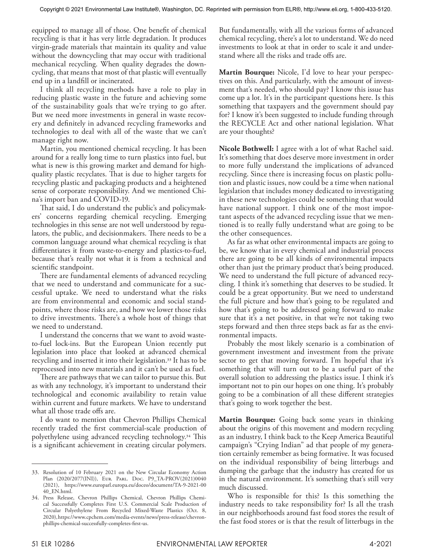equipped to manage all of those. One benefit of chemical recycling is that it has very little degradation. It produces virgin-grade materials that maintain its quality and value without the downcycling that may occur with traditional mechanical recycling. When quality degrades the downcycling, that means that most of that plastic will eventually end up in a landfill or incinerated.

I think all recycling methods have a role to play in reducing plastic waste in the future and achieving some of the sustainability goals that we're trying to go after. But we need more investments in general in waste recovery and definitely in advanced recycling frameworks and technologies to deal with all of the waste that we can't manage right now.

Martin, you mentioned chemical recycling. It has been around for a really long time to turn plastics into fuel, but what is new is this growing market and demand for highquality plastic recyclates. That is due to higher targets for recycling plastic and packaging products and a heightened sense of corporate responsibility. And we mentioned China's import ban and COVID-19.

That said, I do understand the public's and policymakers' concerns regarding chemical recycling. Emerging technologies in this sense are not well understood by regulators, the public, and decisionmakers. There needs to be a common language around what chemical recycling is that differentiates it from waste-to-energy and plastics-to-fuel, because that's really not what it is from a technical and scientific standpoint.

There are fundamental elements of advanced recycling that we need to understand and communicate for a successful uptake. We need to understand what the risks are from environmental and economic and social standpoints, where those risks are, and how we lower those risks to drive investments. There's a whole host of things that we need to understand.

I understand the concerns that we want to avoid wasteto-fuel lock-ins. But the European Union recently put legislation into place that looked at advanced chemical recycling and inserted it into their legislation.33 It has to be reprocessed into new materials and it can't be used as fuel.

There are pathways that we can tailor to pursue this. But as with any technology, it's important to understand their technological and economic availability to retain value within current and future markets. We have to understand what all those trade offs are.

I do want to mention that Chevron Phillips Chemical recently traded the first commercial-scale production of polyethylene using advanced recycling technology.34 This is a significant achievement in creating circular polymers.

But fundamentally, with all the various forms of advanced chemical recycling, there's a lot to understand. We do need investments to look at that in order to scale it and understand where all the risks and trade offs are.

**Martin Bourque:** Nicole, I'd love to hear your perspectives on this. And particularly, with the amount of investment that's needed, who should pay? I know this issue has come up a lot. It's in the participant questions here. Is this something that taxpayers and the government should pay for? I know it's been suggested to include funding through the RECYCLE Act and other national legislation. What are your thoughts?

**Nicole Bothwell:** I agree with a lot of what Rachel said. It's something that does deserve more investment in order to more fully understand the implications of advanced recycling. Since there is increasing focus on plastic pollution and plastic issues, now could be a time when national legislation that includes money dedicated to investigating in these new technologies could be something that would have national support. I think one of the most important aspects of the advanced recycling issue that we mentioned is to really fully understand what are going to be the other consequences.

As far as what other environmental impacts are going to be, we know that in every chemical and industrial process there are going to be all kinds of environmental impacts other than just the primary product that's being produced. We need to understand the full picture of advanced recycling. I think it's something that deserves to be studied. It could be a great opportunity. But we need to understand the full picture and how that's going to be regulated and how that's going to be addressed going forward to make sure that it's a net positive, in that we're not taking two steps forward and then three steps back as far as the environmental impacts.

Probably the most likely scenario is a combination of government investment and investment from the private sector to get that moving forward. I'm hopeful that it's something that will turn out to be a useful part of the overall solution to addressing the plastics issue. I think it's important not to pin our hopes on one thing. It's probably going to be a combination of all these different strategies that's going to work together the best.

**Martin Bourque:** Going back some years in thinking about the origins of this movement and modern recycling as an industry, I think back to the Keep America Beautiful campaign's "Crying Indian" ad that people of my generation certainly remember as being formative. It was focused on the individual responsibility of being litterbugs and dumping the garbage that the industry has created for us in the natural environment. It's something that's still very much discussed.

Who is responsible for this? Is this something the industry needs to take responsibility for? Is all the trash in our neighborhoods around fast food stores the result of the fast food stores or is that the result of litterbugs in the

<sup>33.</sup> Resolution of 10 February 2021 on the New Circular Economy Action Plan (2020/2077(INI)), Eur. Parl. Doc. P9\_TA-PROV(2021)0040 (2021), https://www.europarl.europa.eu/doceo/document/TA-9-2021-00 40\_EN.html.

<sup>34.</sup> Press Release, Chevron Phillips Chemical, Chevron Phillips Chemical Successfully Completes First U.S. Commercial Scale Production of Circular Polyethylene From Recycled Mixed-Waste Plastics (Oct. 8, 2020), https://www.cpchem.com/media-events/news/press-release/chevronphillips-chemical-successfully-completes-first-us.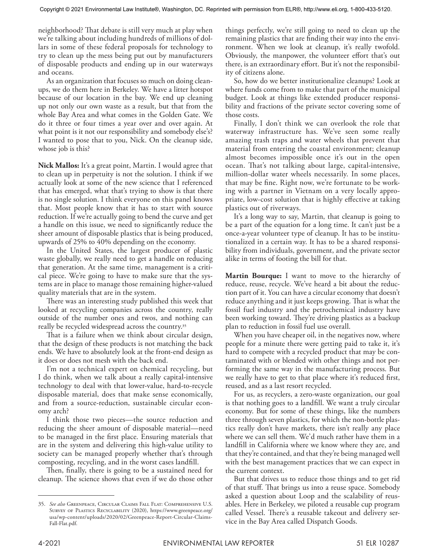neighborhood? That debate is still very much at play when we're talking about including hundreds of millions of dollars in some of these federal proposals for technology to try to clean up the mess being put out by manufacturers of disposable products and ending up in our waterways and oceans.

As an organization that focuses so much on doing cleanups, we do them here in Berkeley. We have a litter hotspot because of our location in the bay. We end up cleaning up not only our own waste as a result, but that from the whole Bay Area and what comes in the Golden Gate. We do it three or four times a year over and over again. At what point is it not our responsibility and somebody else's? I wanted to pose that to you, Nick. On the cleanup side, whose job is this?

**Nick Mallos:** It's a great point, Martin. I would agree that to clean up in perpetuity is not the solution. I think if we actually look at some of the new science that I referenced that has emerged, what that's trying to show is that there is no single solution. I think everyone on this panel knows that. Most people know that it has to start with source reduction. If we're actually going to bend the curve and get a handle on this issue, we need to significantly reduce the sheer amount of disposable plastics that is being produced, upwards of 25% to 40% depending on the economy.

In the United States, the largest producer of plastic waste globally, we really need to get a handle on reducing that generation. At the same time, management is a critical piece. We're going to have to make sure that the systems are in place to manage those remaining higher-valued quality materials that are in the system.

There was an interesting study published this week that looked at recycling companies across the country, really outside of the number ones and twos, and nothing can really be recycled widespread across the country.35

That is a failure when we think about circular design, that the design of these products is not matching the back ends. We have to absolutely look at the front-end design as it does or does not mesh with the back end.

I'm not a technical expert on chemical recycling, but I do think, when we talk about a really capital-intensive technology to deal with that lower-value, hard-to-recycle disposable material, does that make sense economically, and from a source-reduction, sustainable circular economy arch?

I think those two pieces—the source reduction and reducing the sheer amount of disposable material—need to be managed in the first place. Ensuring materials that are in the system and delivering this high-value utility to society can be managed properly whether that's through composting, recycling, and in the worst cases landfill.

Then, finally, there is going to be a sustained need for cleanup. The science shows that even if we do those other

things perfectly, we're still going to need to clean up the remaining plastics that are finding their way into the environment. When we look at cleanup, it's really twofold. Obviously, the manpower, the volunteer effort that's out there, is an extraordinary effort. But it's not the responsibility of citizens alone.

So, how do we better institutionalize cleanups? Look at where funds come from to make that part of the municipal budget. Look at things like extended producer responsibility and fractions of the private sector covering some of those costs.

Finally, I don't think we can overlook the role that waterway infrastructure has. We've seen some really amazing trash traps and water wheels that prevent that material from entering the coastal environment; cleanup almost becomes impossible once it's out in the open ocean. That's not talking about large, capital-intensive, million-dollar water wheels necessarily. In some places, that may be fine. Right now, we're fortunate to be working with a partner in Vietnam on a very locally appropriate, low-cost solution that is highly effective at taking plastics out of riverways.

It's a long way to say, Martin, that cleanup is going to be a part of the equation for a long time. It can't just be a once-a-year volunteer type of cleanup. It has to be institutionalized in a certain way. It has to be a shared responsibility from individuals, government, and the private sector alike in terms of footing the bill for that.

**Martin Bourque:** I want to move to the hierarchy of reduce, reuse, recycle. We've heard a bit about the reduction part of it. You can have a circular economy that doesn't reduce anything and it just keeps growing. That is what the fossil fuel industry and the petrochemical industry have been working toward. They're driving plastics as a backup plan to reduction in fossil fuel use overall.

When you have cheaper oil, in the negatives now, where people for a minute there were getting paid to take it, it's hard to compete with a recycled product that may be contaminated with or blended with other things and not performing the same way in the manufacturing process. But we really have to get to that place where it's reduced first, reused, and as a last resort recycled.

For us, as recyclers, a zero-waste organization, our goal is that nothing goes to a landfill. We want a truly circular economy. But for some of these things, like the numbers three through seven plastics, for which the non-bottle plastics really don't have markets, there isn't really any place where we can sell them. We'd much rather have them in a landfill in California where we know where they are, and that they're contained, and that they're being managed well with the best management practices that we can expect in the current context.

But that drives us to reduce those things and to get rid of that stuff. That brings us into a reuse space. Somebody asked a question about Loop and the scalability of reusables. Here in Berkeley, we piloted a reusable cup program called Vessel. There's a reusable takeout and delivery service in the Bay Area called Dispatch Goods.

<sup>35.</sup> *See also* Greenpeace, Circular Claims Fall Flat: Comprehensive U.S. SURVEY OF PLASTICS RECYCLABILITY (2020), https://www.greenpeace.org/ usa/wp-content/uploads/2020/02/Greenpeace-Report-Circular-Claims-Fall-Flat.pdf.